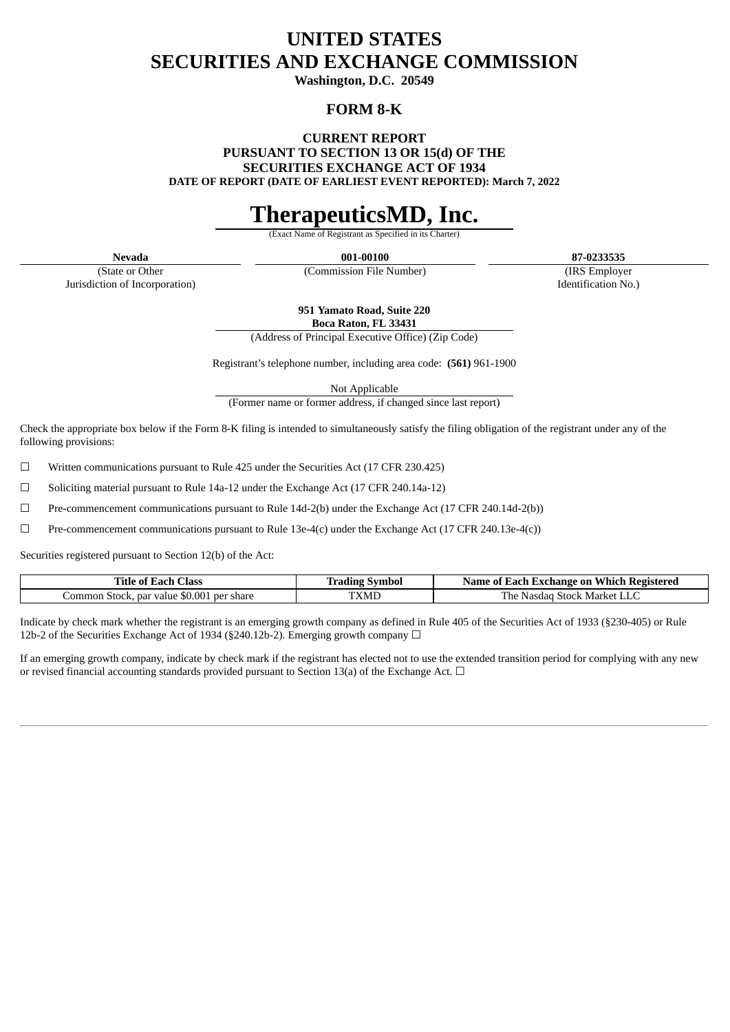## **UNITED STATES SECURITIES AND EXCHANGE COMMISSION**

**Washington, D.C. 20549**

### **FORM 8-K**

**CURRENT REPORT**

**PURSUANT TO SECTION 13 OR 15(d) OF THE**

**SECURITIES EXCHANGE ACT OF 1934**

**DATE OF REPORT (DATE OF EARLIEST EVENT REPORTED): March 7, 2022**

## **TherapeuticsMD, Inc.**

**Exact Name of Registrant** 

**Nevada 001-00100 87-0233535**

(State or Other Jurisdiction of Incorporation)

(Commission File Number) (IRS Employer Identification No.)

**951 Yamato Road, Suite 220 Boca Raton, FL 33431**

(Address of Principal Executive Office) (Zip Code)

Registrant's telephone number, including area code: **(561)** 961-1900

Not Applicable

(Former name or former address, if changed since last report)

Check the appropriate box below if the Form 8-K filing is intended to simultaneously satisfy the filing obligation of the registrant under any of the following provisions:

 $\Box$  Written communications pursuant to Rule 425 under the Securities Act (17 CFR 230.425)

 $\Box$  Soliciting material pursuant to Rule 14a-12 under the Exchange Act (17 CFR 240.14a-12)

 $\Box$  Pre-commencement communications pursuant to Rule 14d-2(b) under the Exchange Act (17 CFR 240.14d-2(b))

 $□$  Pre-commencement communications pursuant to Rule 13e-4(c) under the Exchange Act (17 CFR 240.13e-4(c))

Securities registered pursuant to Section 12(b) of the Act:

| <b>Class</b><br>Title of .<br>≤ach                                  | $\sim$<br>Symbol<br>-radıng - | Which<br>: Registered<br>zach Exchange on-<br>Name of |
|---------------------------------------------------------------------|-------------------------------|-------------------------------------------------------|
| $$0.00^{\circ}$<br>per share<br>Common Stock. ۲<br>: value :<br>par | <b>TXML</b>                   | l he<br>Market<br>Stock<br>Nasdac<br>பட               |

Indicate by check mark whether the registrant is an emerging growth company as defined in Rule 405 of the Securities Act of 1933 (§230-405) or Rule 12b-2 of the Securities Exchange Act of 1934 (§240.12b-2). Emerging growth company  $\Box$ 

If an emerging growth company, indicate by check mark if the registrant has elected not to use the extended transition period for complying with any new or revised financial accounting standards provided pursuant to Section 13(a) of the Exchange Act.  $\Box$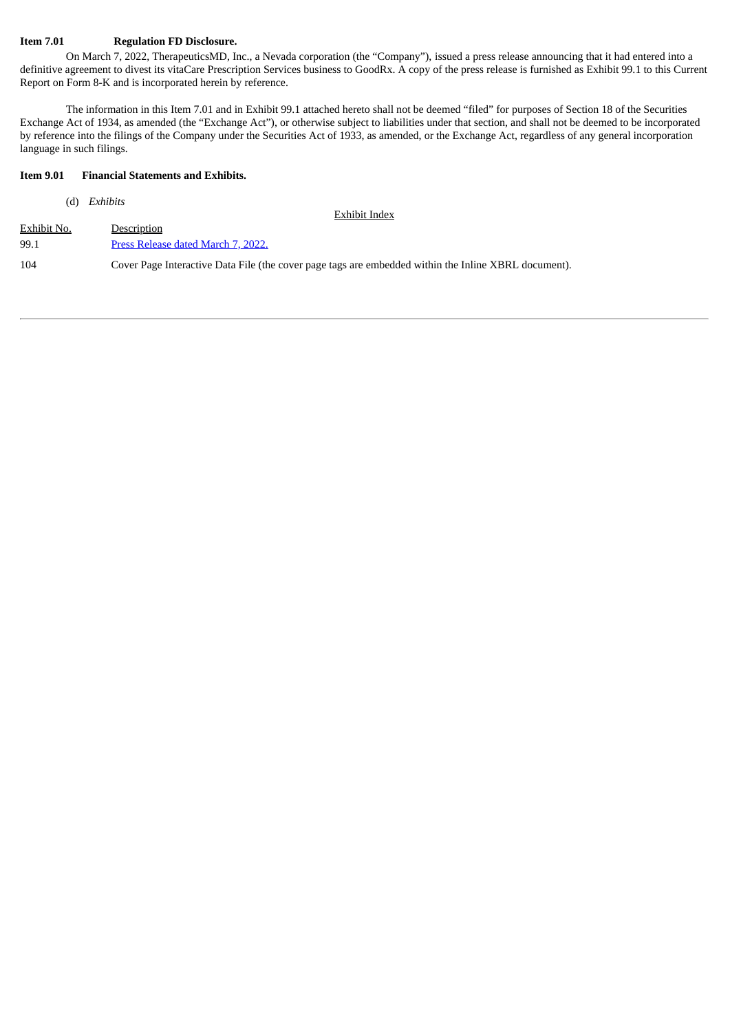### **Item 7.01 Regulation FD Disclosure.**

On March 7, 2022, TherapeuticsMD, Inc., a Nevada corporation (the "Company"), issued a press release announcing that it had entered into a definitive agreement to divest its vitaCare Prescription Services business to GoodRx. A copy of the press release is furnished as Exhibit 99.1 to this Current Report on Form 8-K and is incorporated herein by reference.

The information in this Item 7.01 and in Exhibit 99.1 attached hereto shall not be deemed "filed" for purposes of Section 18 of the Securities Exchange Act of 1934, as amended (the "Exchange Act"), or otherwise subject to liabilities under that section, and shall not be deemed to be incorporated by reference into the filings of the Company under the Securities Act of 1933, as amended, or the Exchange Act, regardless of any general incorporation language in such filings.

### **Item 9.01 Financial Statements and Exhibits.**

| (d)         | Exhibits                                                                                             |
|-------------|------------------------------------------------------------------------------------------------------|
|             | Exhibit Index                                                                                        |
| Exhibit No. | Description                                                                                          |
| 99.1        | Press Release dated March 7, 2022.                                                                   |
| 104         | Cover Page Interactive Data File (the cover page tags are embedded within the Inline XBRL document). |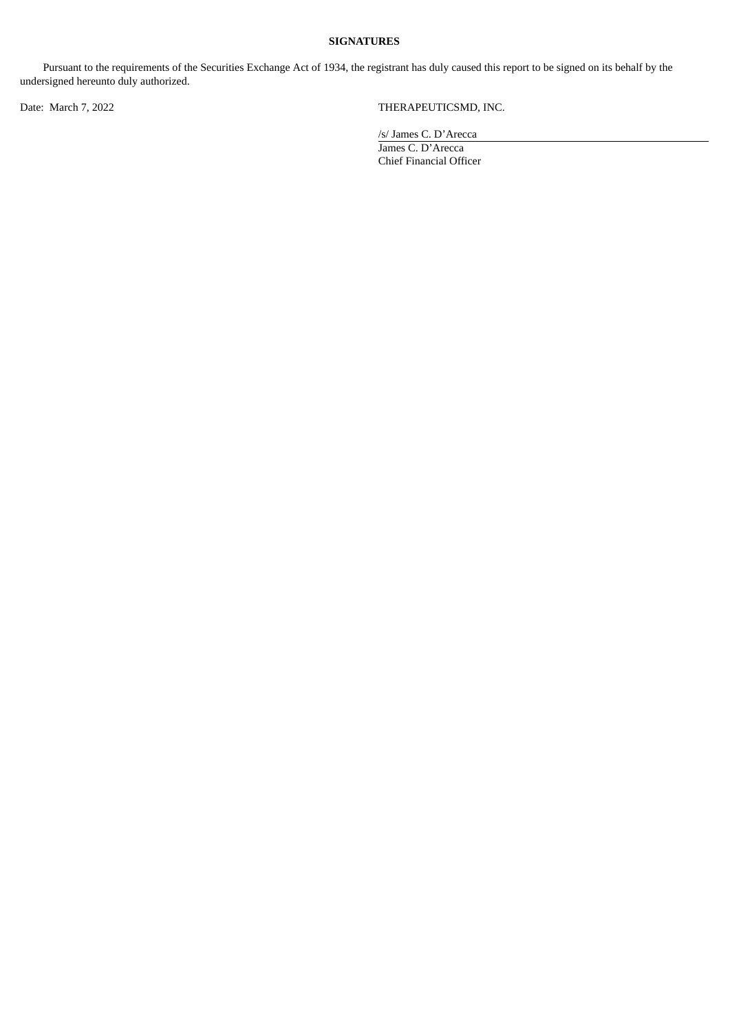### **SIGNATURES**

Pursuant to the requirements of the Securities Exchange Act of 1934, the registrant has duly caused this report to be signed on its behalf by the undersigned hereunto duly authorized.

Date: March 7, 2022 THERAPEUTICSMD, INC.

/s/ James C. D'Arecca

James C. D'Arecca Chief Financial Officer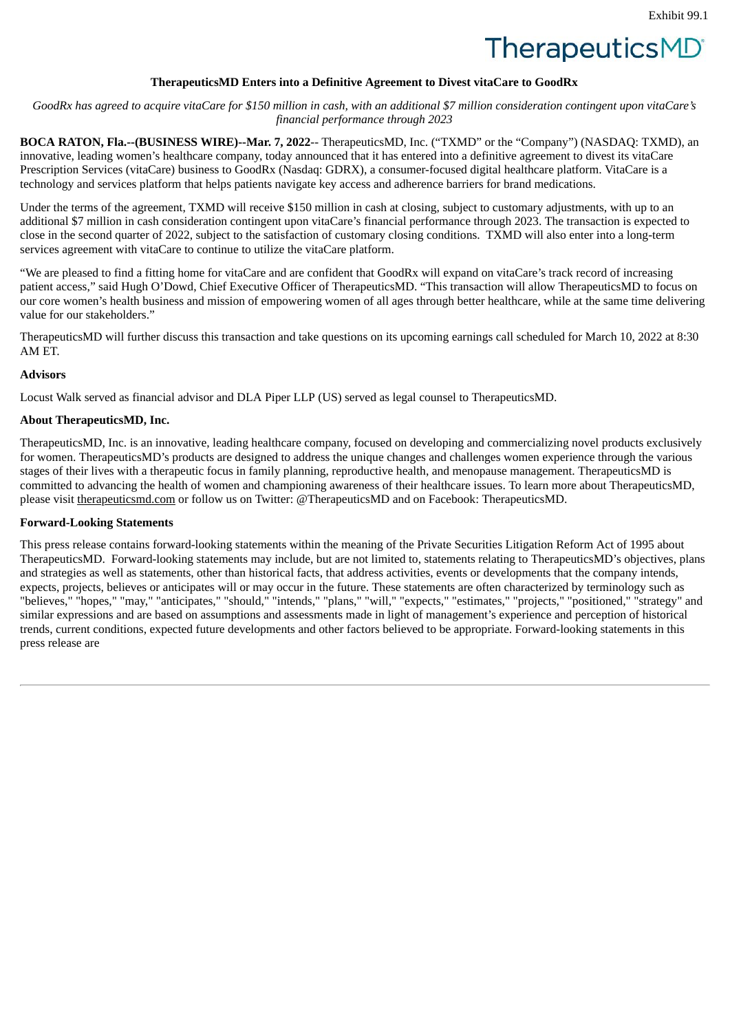# **TherapeuticsMD**

### **TherapeuticsMD Enters into a Definitive Agreement to Divest vitaCare to GoodRx**

<span id="page-3-0"></span>GoodRx has agreed to acquire vitaCare for \$150 million in cash, with an additional \$7 million consideration contingent upon vitaCare's *financial performance through 2023*

**BOCA RATON, Fla.--(BUSINESS WIRE)--Mar. 7, 2022**-- TherapeuticsMD, Inc. ("TXMD" or the "Company") (NASDAQ: TXMD), an innovative, leading women's healthcare company, today announced that it has entered into a definitive agreement to divest its vitaCare Prescription Services (vitaCare) business to GoodRx (Nasdaq: GDRX), a consumer-focused digital healthcare platform. VitaCare is a technology and services platform that helps patients navigate key access and adherence barriers for brand medications.

Under the terms of the agreement, TXMD will receive \$150 million in cash at closing, subject to customary adjustments, with up to an additional \$7 million in cash consideration contingent upon vitaCare's financial performance through 2023. The transaction is expected to close in the second quarter of 2022, subject to the satisfaction of customary closing conditions. TXMD will also enter into a long-term services agreement with vitaCare to continue to utilize the vitaCare platform.

"We are pleased to find a fitting home for vitaCare and are confident that GoodRx will expand on vitaCare's track record of increasing patient access," said Hugh O'Dowd, Chief Executive Officer of TherapeuticsMD. "This transaction will allow TherapeuticsMD to focus on our core women's health business and mission of empowering women of all ages through better healthcare, while at the same time delivering value for our stakeholders."

TherapeuticsMD will further discuss this transaction and take questions on its upcoming earnings call scheduled for March 10, 2022 at 8:30 AM ET.

### **Advisors**

Locust Walk served as financial advisor and DLA Piper LLP (US) served as legal counsel to TherapeuticsMD.

### **About TherapeuticsMD, Inc.**

TherapeuticsMD, Inc. is an innovative, leading healthcare company, focused on developing and commercializing novel products exclusively for women. TherapeuticsMD's products are designed to address the unique changes and challenges women experience through the various stages of their lives with a therapeutic focus in family planning, reproductive health, and menopause management. TherapeuticsMD is committed to advancing the health of women and championing awareness of their healthcare issues. To learn more about TherapeuticsMD, please visit therapeuticsmd.com or follow us on Twitter: @TherapeuticsMD and on Facebook: TherapeuticsMD.

### **Forward-Looking Statements**

This press release contains forward-looking statements within the meaning of the Private Securities Litigation Reform Act of 1995 about TherapeuticsMD. Forward-looking statements may include, but are not limited to, statements relating to TherapeuticsMD's objectives, plans and strategies as well as statements, other than historical facts, that address activities, events or developments that the company intends, expects, projects, believes or anticipates will or may occur in the future. These statements are often characterized by terminology such as "believes," "hopes," "may," "anticipates," "should," "intends," "plans," "will," "expects," "estimates," "projects," "positioned," "strategy" and similar expressions and are based on assumptions and assessments made in light of management's experience and perception of historical trends, current conditions, expected future developments and other factors believed to be appropriate. Forward-looking statements in this press release are